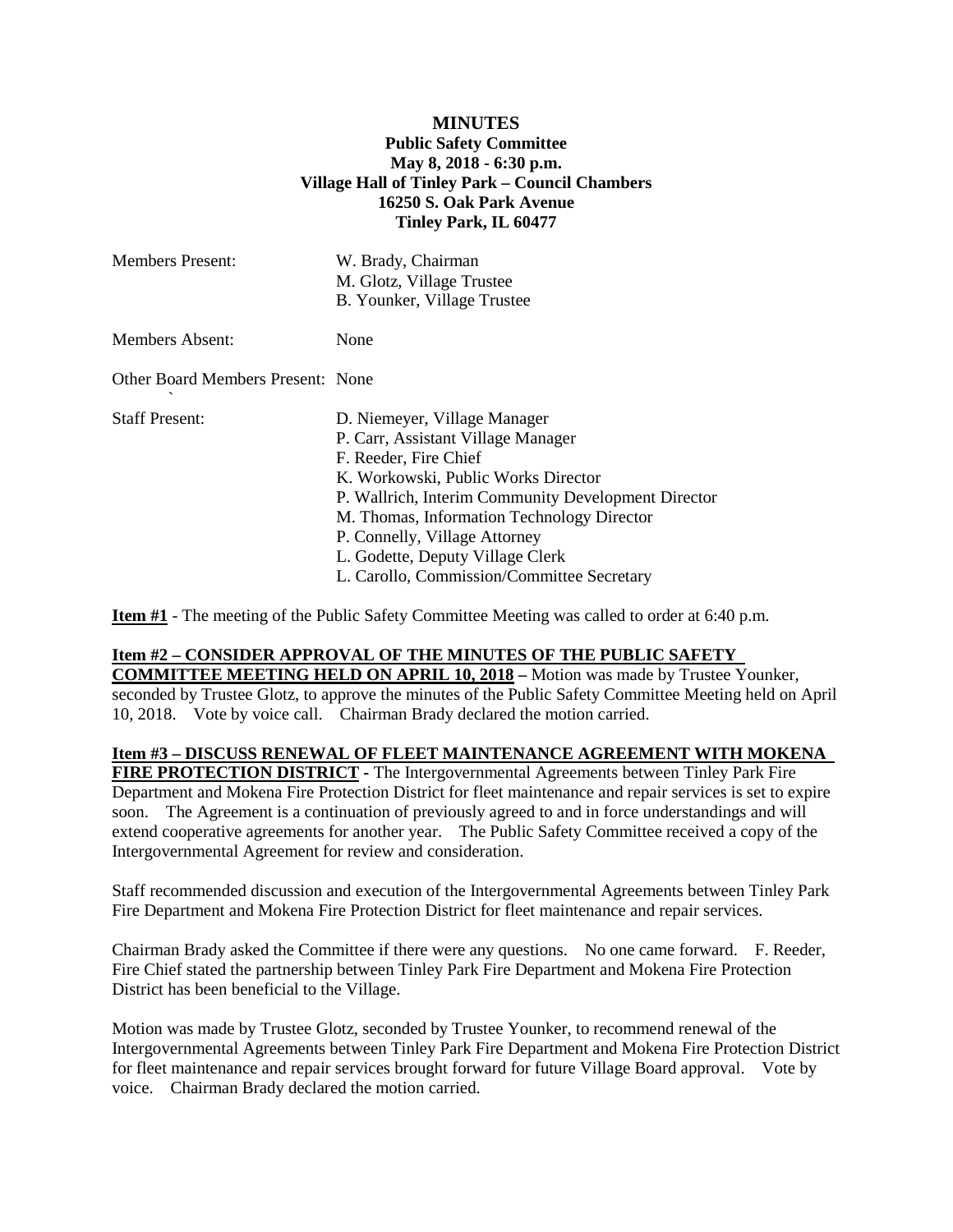## **MINUTES Public Safety Committee May 8, 2018 - 6:30 p.m. Village Hall of Tinley Park – Council Chambers 16250 S. Oak Park Avenue Tinley Park, IL 60477**

| <b>Members Present:</b>           | W. Brady, Chairman<br>M. Glotz, Village Trustee<br>B. Younker, Village Trustee                                                                                                                                                                                                                                                                             |
|-----------------------------------|------------------------------------------------------------------------------------------------------------------------------------------------------------------------------------------------------------------------------------------------------------------------------------------------------------------------------------------------------------|
| Members Absent:                   | None                                                                                                                                                                                                                                                                                                                                                       |
| Other Board Members Present: None |                                                                                                                                                                                                                                                                                                                                                            |
| <b>Staff Present:</b>             | D. Niemeyer, Village Manager<br>P. Carr, Assistant Village Manager<br>F. Reeder, Fire Chief<br>K. Workowski, Public Works Director<br>P. Wallrich, Interim Community Development Director<br>M. Thomas, Information Technology Director<br>P. Connelly, Village Attorney<br>L. Godette, Deputy Village Clerk<br>L. Carollo, Commission/Committee Secretary |

**Item #1** - The meeting of the Public Safety Committee Meeting was called to order at 6:40 p.m.

### **Item #2 – CONSIDER APPROVAL OF THE MINUTES OF THE PUBLIC SAFETY**

**COMMITTEE MEETING HELD ON APRIL 10, 2018 –** Motion was made by Trustee Younker, seconded by Trustee Glotz, to approve the minutes of the Public Safety Committee Meeting held on April 10, 2018. Vote by voice call. Chairman Brady declared the motion carried.

#### **Item #3 – DISCUSS RENEWAL OF FLEET MAINTENANCE AGREEMENT WITH MOKENA**

**FIRE PROTECTION DISTRICT -** The Intergovernmental Agreements between Tinley Park Fire Department and Mokena Fire Protection District for fleet maintenance and repair services is set to expire soon. The Agreement is a continuation of previously agreed to and in force understandings and will extend cooperative agreements for another year. The Public Safety Committee received a copy of the Intergovernmental Agreement for review and consideration.

Staff recommended discussion and execution of the Intergovernmental Agreements between Tinley Park Fire Department and Mokena Fire Protection District for fleet maintenance and repair services.

Chairman Brady asked the Committee if there were any questions. No one came forward. F. Reeder, Fire Chief stated the partnership between Tinley Park Fire Department and Mokena Fire Protection District has been beneficial to the Village.

Motion was made by Trustee Glotz, seconded by Trustee Younker, to recommend renewal of the Intergovernmental Agreements between Tinley Park Fire Department and Mokena Fire Protection District for fleet maintenance and repair services brought forward for future Village Board approval. Vote by voice. Chairman Brady declared the motion carried.